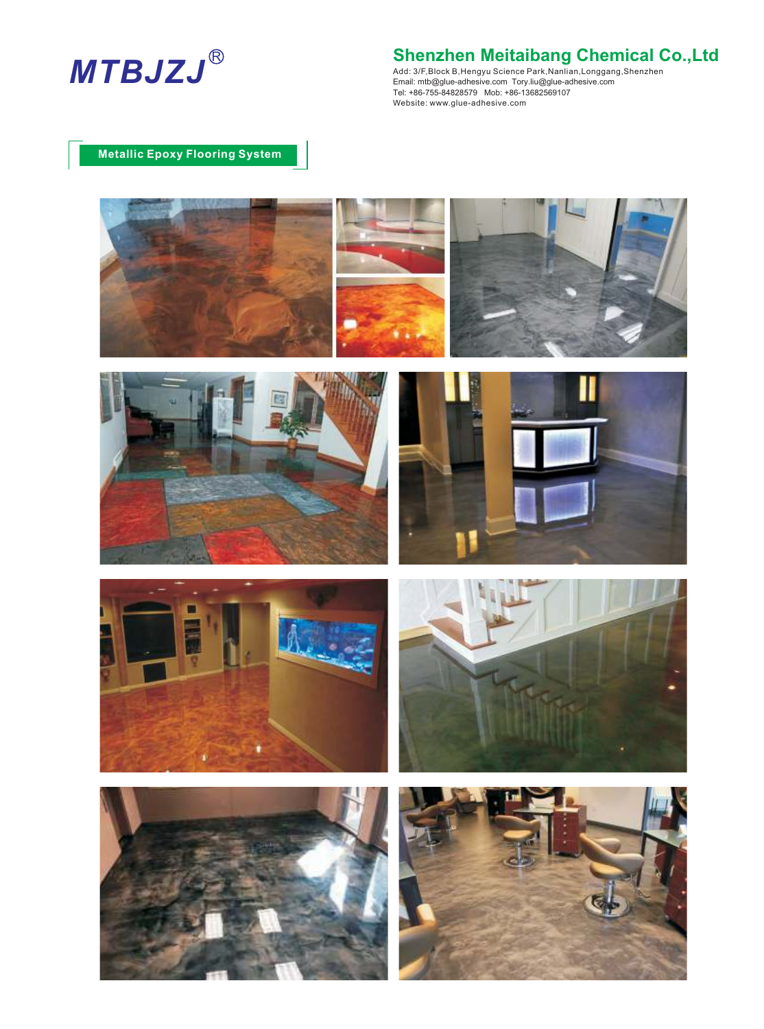

Add: 3/F,Block B,Hengyu Science Park,Nanlian,Longgang,Shenzhen Email: mtb@glue-adhesive.com Tory.liu@glue-adhesive.com Tel: +86-755-84828579 Mob: +86-13682569107 Website: www.glue-adhesive.com :

## **Metallic Epoxy Flooring System**











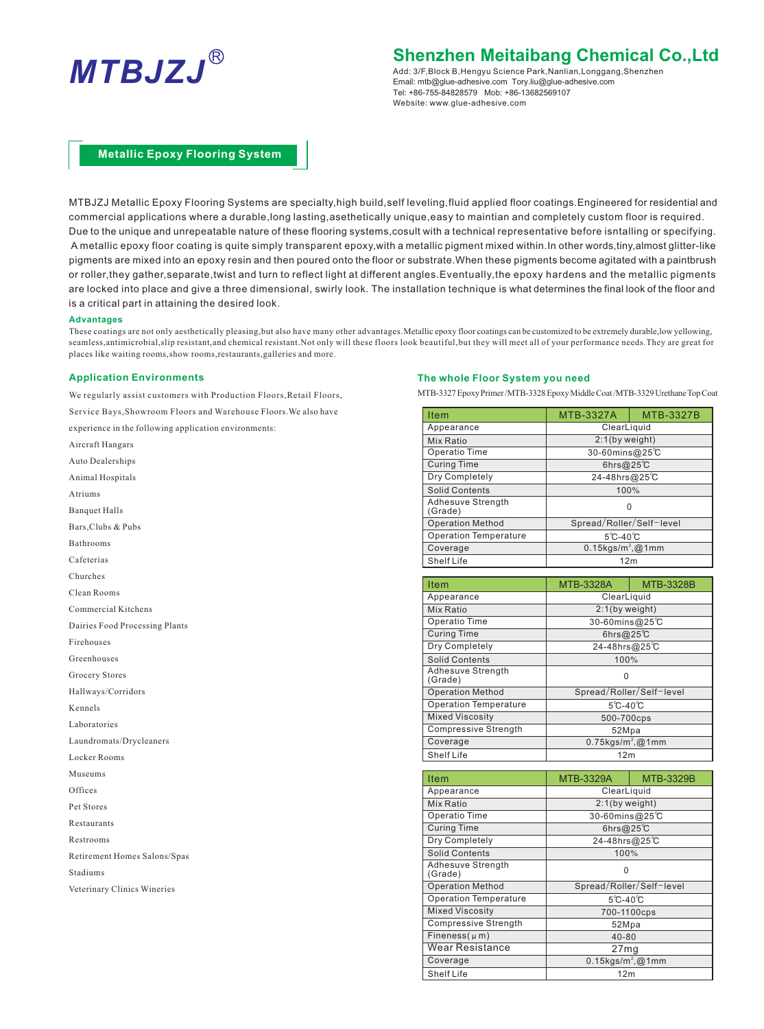

Add: 3/F,Block B,Hengyu Science Park,Nanlian,Longgang,Shenzhen Email: mtb@glue-adhesive.com Tory.liu@glue-adhesive.com Tel: +86-755-84828579 Mob: +86-13682569107 Website: www.glue-adhesive.com

## **Metallic Epoxy Flooring System**

MTBJZJ Metallic Epoxy Flooring Systems are specialty,high build,self leveling,fluid applied floor coatings.Engineered for residential and commercial applications where a durable,long lasting,asethetically unique,easy to maintian and completely custom floor is required. Due to the unique and unrepeatable nature of these flooring systems,cosult with a technical representative before isntalling or specifying. A metallic epoxy floor coating is quite simply transparent epoxy,with a metallic pigment mixed within.In other words,tiny,almost glitter-like pigments are mixed into an epoxy resin and then poured onto the floor or substrate.When these pigments become agitated with a paintbrush or roller,they gather,separate,twist and turn to reflect light at different angles.Eventually,the epoxy hardens and the metallic pigments are locked into place and give a three dimensional, swirly look. The installation technique is what determines the final look of the floor and is a critical part in attaining the desired look.

#### **Advantages**

These coatings are not only aesthetically pleasing,but also have many other advantages.Metallic epoxy floor coatings can be customized to be extremely durable,low yellowing, seamless,antimicrobial,slip resistant,and chemical resistant.Not only will these floors look beautiful,but they will meet all of your performance needs.They are great for places like waiting rooms,show rooms,restaurants,galleries and more.

#### **Application Environments**

We regularly assist customers with Production Floors, Retail Floors, Service Bays,Showroom Floors and Warehouse Floors.We also have

experience in the following application environments:

Aircraft Hangars Auto Dealerships Animal Hospitals Atriums Banquet Halls Bars,Clubs & Pubs Bathrooms Cafeterias Churches Clean Rooms Commercial Kitchens Dairies Food Processing Plants Firehouses Greenhouses Grocery Stores Hallways/Corridors Kennels Laboratories Laundromats/Drycleaners Locker Rooms Museums Offices Pet Stores Restaurants Restrooms Retirement Homes Salons/Spas Stadiums Veterinary Clinics Wineries

#### **The whole Floor System you need**

MTB-3327 Epoxy Primer /MTB-3328 Epoxy Middle Coat /MTB-3329 Urethane Top Coat

| <b>Item</b>                  | <b>MTB-3327A</b>                | <b>MTB-3327B</b> |
|------------------------------|---------------------------------|------------------|
| Appearance                   | ClearLiquid                     |                  |
| Mix Ratio                    | $2:1$ (by weight)               |                  |
| Operatio Time                | 30-60mins@25℃                   |                  |
| <b>Curing Time</b>           | 6hrs@25 $C$                     |                  |
| Dry Completely               | 24-48hrs@25°C                   |                  |
| <b>Solid Contents</b>        | 100%                            |                  |
| Adhesuve Strength<br>(Grade) | 0                               |                  |
| <b>Operation Method</b>      | Spread/Roller/Self-level        |                  |
| <b>Operation Temperature</b> | $5^{\circ}$ C-40 $^{\circ}$ C   |                  |
| Coverage                     | $0.15$ kgs/m <sup>2</sup> ,@1mm |                  |
| Shelf Life                   | 12 <sub>m</sub>                 |                  |

| <b>Item</b>                  | <b>MTB-3328A</b>                | <b>MTB-3328B</b> |
|------------------------------|---------------------------------|------------------|
| Appearance                   | ClearLiquid                     |                  |
| Mix Ratio                    | $2:1$ (by weight)               |                  |
| Operatio Time                | 30-60mins@25℃                   |                  |
| <b>Curing Time</b>           | 6hrs@25 $C$                     |                  |
| Dry Completely               | 24-48hrs@25°C                   |                  |
| <b>Solid Contents</b>        | 100%                            |                  |
| Adhesuve Strength<br>(Grade) | 0                               |                  |
| <b>Operation Method</b>      | Spread/Roller/Self-level        |                  |
| <b>Operation Temperature</b> | $5^{\circ}$ C-40 $^{\circ}$ C   |                  |
| <b>Mixed Viscosity</b>       | 500-700cps                      |                  |
| <b>Compressive Strength</b>  | 52Mpa                           |                  |
| Coverage                     | $0.75$ kgs/m <sup>2</sup> ,@1mm |                  |
| <b>Shelf Life</b>            | 12 <sub>m</sub>                 |                  |

| Item                         | <b>MTB-3329A</b>                | <b>MTB-3329B</b> |
|------------------------------|---------------------------------|------------------|
| Appearance                   | ClearLiquid                     |                  |
| Mix Ratio                    | 2:1(by weight)                  |                  |
| Operatio Time                | 30-60mins@25°C                  |                  |
| <b>Curing Time</b>           | 6hrs@25 $C$                     |                  |
| Dry Completely               | 24-48hrs@25°C                   |                  |
| <b>Solid Contents</b>        | 100%                            |                  |
| Adhesuve Strength<br>(Grade) | O                               |                  |
| <b>Operation Method</b>      | Spread/Roller/Self-level        |                  |
| <b>Operation Temperature</b> | $5^{\circ}$ C-40 $\circ$ C      |                  |
| <b>Mixed Viscosity</b>       | 700-1100cps                     |                  |
| <b>Compressive Strength</b>  | 52Mpa                           |                  |
| Fineness $(\mu m)$           | $40 - 80$                       |                  |
| Wear Resistance              | 27 <sub>mq</sub>                |                  |
| Coverage                     | $0.15$ kgs/m <sup>2</sup> ,@1mm |                  |
| <b>Shelf Life</b>            | 12 <sub>m</sub>                 |                  |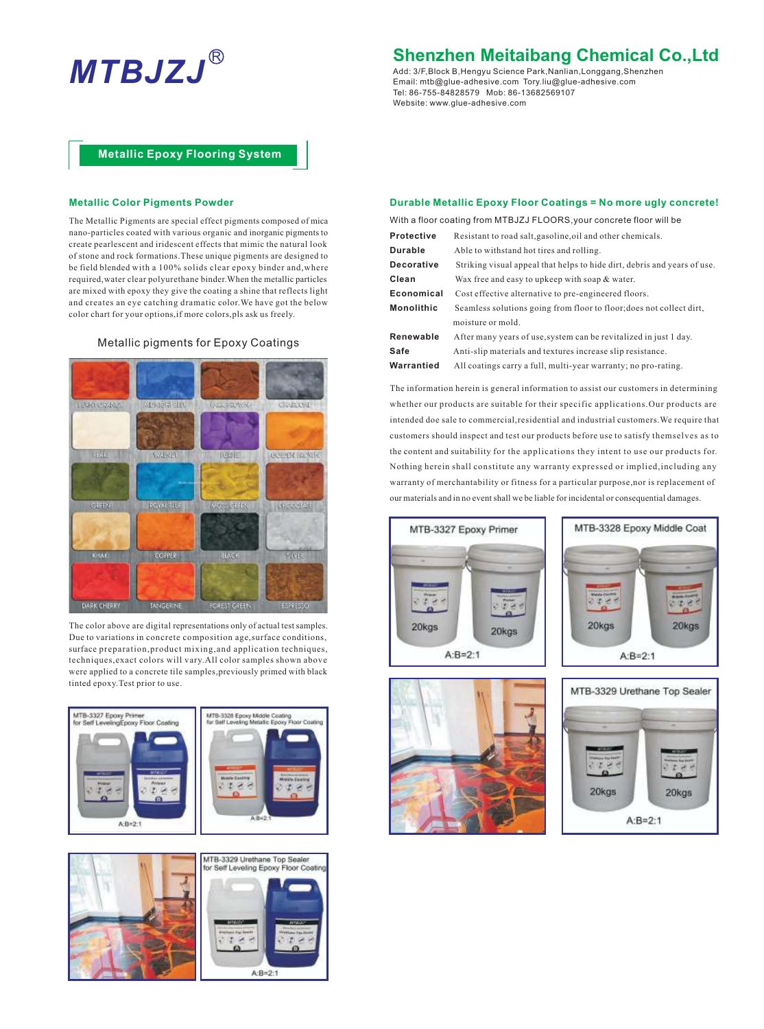# **MTBJZJ** Renatly **Shenzhen Meitaibang Chemical Co.,Ltd**<br> **MTBJZJ** Renatly **Renatly Science Park,Nanlian,Longgang,Shenzhen**

Add: 3/F,Block B,Hengyu Science Park,Nanlian,Longgang,Shenzhen Tel: 86-755-84828579 Mob: 86-13682569107 Website: www.glue-adhesive.com Email: mtb@glue-adhesive.com Tory.liu@glue-adhesive.com

### **Metallic Epoxy Flooring System**

#### **Metallic Color Pigments Powder**

The Metallic Pigments are special effect pigments composed of mica nano-particles coated with various organic and inorganic pigments to create pearlescent and iridescent effects that mimic the natural look of stone and rock formations.These unique pigments are designed to be field blended with a 100% solids clear epoxy binder and,where required,water clear polyurethane binder.When the metallic particles are mixed with epoxy they give the coating a shine that reflects light and creates an eye catching dramatic color.We have got the below color chart for your options,if more colors,pls ask us freely.

### Metallic pigments for Epoxy Coatings



The color above are digital representations only of actual test samples. Due to variations in concrete composition age,surface conditions, surface preparation,product mixing,and application techniques, techniques,exact colors will vary.All color samples shown above were applied to a concrete tile samples,previously primed with black tinted epoxy.Test prior to use.





#### **Durable Metallic Epoxy Floor Coatings = No more ugly concrete!**

| With a floor coating from MTBJZJ FLOORS, your concrete floor will be |                                                                          |  |  |
|----------------------------------------------------------------------|--------------------------------------------------------------------------|--|--|
| Protective                                                           | Resistant to road salt, gasoline, oil and other chemicals.               |  |  |
| Durable                                                              | Able to withstand hot tires and rolling.                                 |  |  |
| <b>Decorative</b>                                                    | Striking visual appeal that helps to hide dirt, debris and years of use. |  |  |
| Clean                                                                | Wax free and easy to upkeep with soap & water.                           |  |  |
| Economical                                                           | Cost effective alternative to pre-engineered floors.                     |  |  |
| <b>Monolithic</b>                                                    | Seamless solutions going from floor to floor; does not collect dirt,     |  |  |
|                                                                      | moisture or mold.                                                        |  |  |
| Renewable                                                            | After many years of use, system can be revitalized in just 1 day.        |  |  |
| Safe                                                                 | Anti-slip materials and textures increase slip resistance.               |  |  |

**Warrantied** All coatings carry a full, multi-year warranty; no pro-rating. The information herein is general information to assist our customers in determining

whether our products are suitable for their specific applications.Our products are intended doe sale to commercial,residential and industrial customers.We require that customers should inspect and test our products before use to satisfy themselves as to the content and suitability for the applications they intent to use our products for. Nothing herein shall constitute any warranty expressed or implied,including any warranty of merchantability or fitness for a particular purpose,nor is replacement of our materials and in no event shall we be liable for incidental or consequential damages.